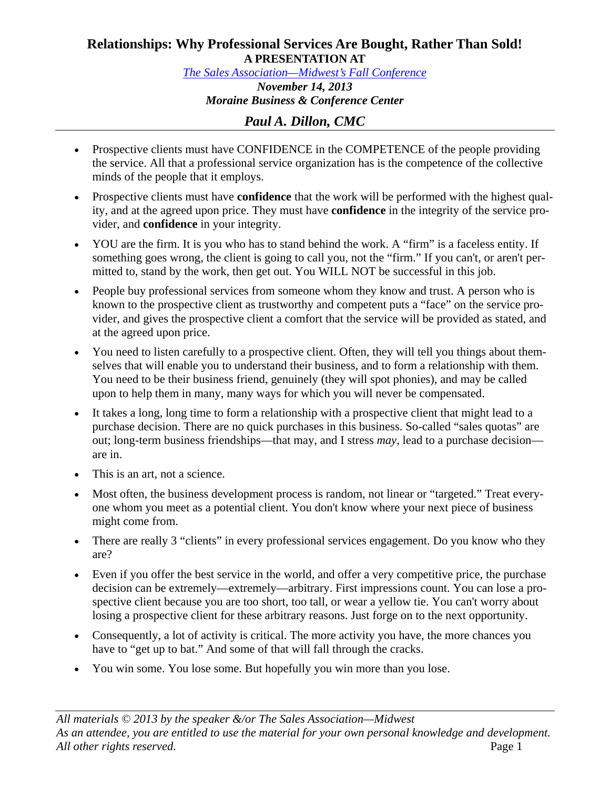## **Relationships: Why Professional Services Are Bought, Rather Than Sold! A PRESENTATION AT**

*The Sales Association—Midwest's Fall Conference November 14, 2013 Moraine Business & Conference Center* 

## *Paul A. Dillon, CMC*

- Prospective clients must have CONFIDENCE in the COMPETENCE of the people providing the service. All that a professional service organization has is the competence of the collective minds of the people that it employs.
- Prospective clients must have **confidence** that the work will be performed with the highest quality, and at the agreed upon price. They must have **confidence** in the integrity of the service provider, and **confidence** in your integrity.
- YOU are the firm. It is you who has to stand behind the work. A "firm" is a faceless entity. If something goes wrong, the client is going to call you, not the "firm." If you can't, or aren't permitted to, stand by the work, then get out. You WILL NOT be successful in this job.
- People buy professional services from someone whom they know and trust. A person who is known to the prospective client as trustworthy and competent puts a "face" on the service provider, and gives the prospective client a comfort that the service will be provided as stated, and at the agreed upon price.
- You need to listen carefully to a prospective client. Often, they will tell you things about themselves that will enable you to understand their business, and to form a relationship with them. You need to be their business friend, genuinely (they will spot phonies), and may be called upon to help them in many, many ways for which you will never be compensated.
- It takes a long, long time to form a relationship with a prospective client that might lead to a purchase decision. There are no quick purchases in this business. So-called "sales quotas" are out; long-term business friendships—that may, and I stress *may*, lead to a purchase decision are in.
- This is an art, not a science.
- Most often, the business development process is random, not linear or "targeted." Treat everyone whom you meet as a potential client. You don't know where your next piece of business might come from.
- There are really 3 "clients" in every professional services engagement. Do you know who they are?
- Even if you offer the best service in the world, and offer a very competitive price, the purchase decision can be extremely—extremely—arbitrary. First impressions count. You can lose a prospective client because you are too short, too tall, or wear a yellow tie. You can't worry about losing a prospective client for these arbitrary reasons. Just forge on to the next opportunity.
- Consequently, a lot of activity is critical. The more activity you have, the more chances you have to "get up to bat." And some of that will fall through the cracks.
- You win some. You lose some. But hopefully you win more than you lose.